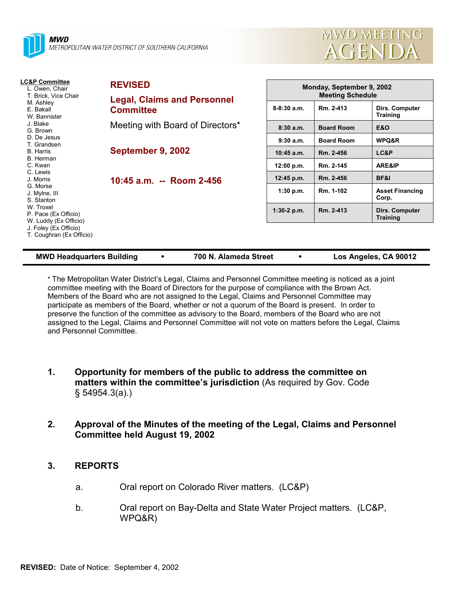



| LC&P Committee<br>L. Owen, Chair<br>T. Brick, Vice Chair<br>M. Ashley<br>E. Bakall<br>W. Bannister                                                                                  | <b>REVISED</b><br><b>Legal, Claims and Personnel</b><br><b>Committee</b> | Monday, September 9, 2002<br><b>Meeting Schedule</b> |                   |                                   |
|-------------------------------------------------------------------------------------------------------------------------------------------------------------------------------------|--------------------------------------------------------------------------|------------------------------------------------------|-------------------|-----------------------------------|
|                                                                                                                                                                                     |                                                                          | $8-8:30a.m.$                                         | Rm. 2-413         | Dirs. Computer<br><b>Training</b> |
| J. Blake<br>G. Brown                                                                                                                                                                | Meeting with Board of Directors*                                         | 8:30a.m.                                             | <b>Board Room</b> | <b>E&amp;O</b>                    |
| D. De Jesus<br>T. Grandsen<br><b>B.</b> Harris                                                                                                                                      | September 9, 2002                                                        | 9:30a.m.                                             | <b>Board Room</b> | WPQ&R                             |
|                                                                                                                                                                                     |                                                                          | $10:45$ a.m.                                         | Rm. 2-456         | LC&P                              |
| B. Herman<br>C. Kwan                                                                                                                                                                |                                                                          | 12:00 p.m.                                           | Rm. 2-145         | ARE&IP                            |
| C. Lewis<br>J. Morris<br>G. Morse<br>J. Mylne, III<br>S. Stanton<br>W. Troxel<br>P. Pace (Ex Officio)<br>W. Luddy (Ex Officio)<br>J. Foley (Ex Officio)<br>T. Coughran (Ex Officio) | 10:45 a.m. -- Room 2-456                                                 | 12:45 p.m.                                           | Rm. 2-456         | BF&I                              |
|                                                                                                                                                                                     |                                                                          | 1:30 p.m.                                            | Rm. 1-102         | <b>Asset Financing</b><br>Corp.   |
|                                                                                                                                                                                     |                                                                          | $1:30-2$ p.m.                                        | Rm. 2-413         | Dirs. Computer<br><b>Training</b> |
|                                                                                                                                                                                     |                                                                          |                                                      |                   |                                   |

| <b>MWD Headquarters Building</b> |  | 700 N. Alameda Street |  | Los Angeles, CA 90012 |
|----------------------------------|--|-----------------------|--|-----------------------|
|----------------------------------|--|-----------------------|--|-----------------------|

\* The Metropolitan Water Districtís Legal, Claims and Personnel Committee meeting is noticed as a joint committee meeting with the Board of Directors for the purpose of compliance with the Brown Act. Members of the Board who are not assigned to the Legal, Claims and Personnel Committee may participate as members of the Board, whether or not a quorum of the Board is present. In order to preserve the function of the committee as advisory to the Board, members of the Board who are not assigned to the Legal, Claims and Personnel Committee will not vote on matters before the Legal, Claims and Personnel Committee.

- **1. Opportunity for members of the public to address the committee on** matters within the committee's jurisdiction (As required by Gov. Code ß 54954.3(a).)
- **2. Approval of the Minutes of the meeting of the Legal, Claims and Personnel Committee held August 19, 2002**

# **3. REPORTS**

- a. Oral report on Colorado River matters. (LC&P)
- b. Oral report on Bay-Delta and State Water Project matters. (LC&P, WPQ&R)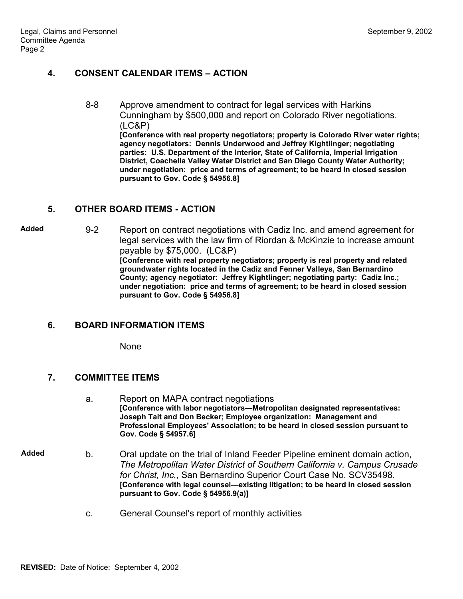# **4. CONSENT CALENDAR ITEMS - ACTION**

8-8 Approve amendment to contract for legal services with Harkins Cunningham by \$500,000 and report on Colorado River negotiations. (LC&P) **[Conference with real property negotiators; property is Colorado River water rights; agency negotiators: Dennis Underwood and Jeffrey Kightlinger; negotiating parties: U.S. Department of the Interior, State of California, Imperial Irrigation District, Coachella Valley Water District and San Diego County Water Authority; under negotiation: price and terms of agreement; to be heard in closed session**

#### **5. OTHER BOARD ITEMS - ACTION**

**Added** 9-2 Report on contract negotiations with Cadiz Inc. and amend agreement for legal services with the law firm of Riordan & McKinzie to increase amount payable by \$75,000. (LC&P) **[Conference with real property negotiators; property is real property and related groundwater rights located in the Cadiz and Fenner Valleys, San Bernardino County; agency negotiator: Jeffrey Kightlinger; negotiating party: Cadiz Inc.; under negotiation: price and terms of agreement; to be heard in closed session pursuant to Gov. Code ß 54956.8]**

**pursuant to Gov. Code ß 54956.8]**

#### **6. BOARD INFORMATION ITEMS**

None

#### **7. COMMITTEE ITEMS**

- a. Report on MAPA contract negotiations [Conference with labor negotiators-Metropolitan designated representatives: **Joseph Tait and Don Becker; Employee organization: Management and Professional Employees' Association; to be heard in closed session pursuant to Gov. Code ß 54957.6]**
- **Added** b. Oral update on the trial of Inland Feeder Pipeline eminent domain action, *The Metropolitan Water District of Southern California v. Campus Crusade for Christ, Inc.*, San Bernardino Superior Court Case No. SCV35498. **[Conference with legal counsel—existing litigation; to be heard in closed session pursuant to Gov. Code ß 54956.9(a)]**
	- c. General Counsel's report of monthly activities